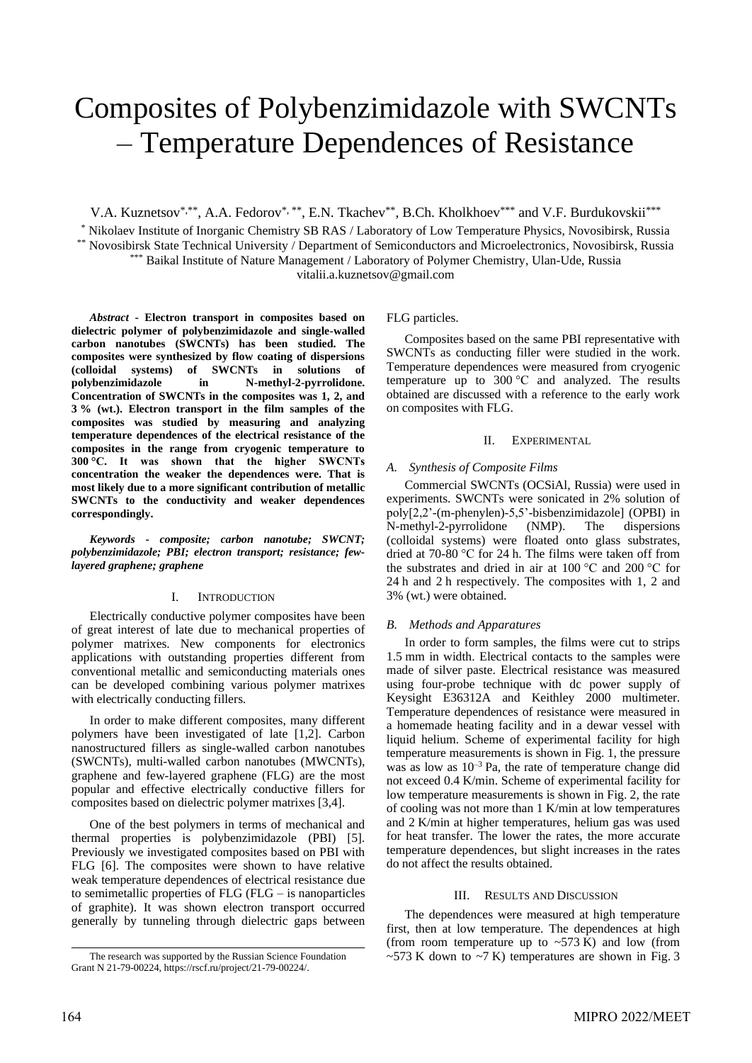# Composites of Polybenzimidazole with SWCNTs – Temperature Dependences of Resistance

V.A. Kuznetsov\*,\*\*, A.A. Fedorov\*,\*\*, E.N. Tkachev\*\*, B.Ch. Kholkhoev\*\*\* and V.F. Burdukovskii\*\*\*

\* Nikolaev Institute of Inorganic Chemistry SB RAS / Laboratory of Low Temperature Physics, Novosibirsk, Russia \*\* Novosibirsk State Technical University / Department of Semiconductors and Microelectronics, Novosibirsk, Russia \*\*\* Baikal Institute of Nature Management / Laboratory of Polymer Chemistry, Ulan-Ude, Russia

vitalii.a.kuznetsov@gmail.com

*Abstract* **- Electron transport in composites based on dielectric polymer of polybenzimidazole and single-walled carbon nanotubes (SWCNTs) has been studied. The composites were synthesized by flow coating of dispersions (colloidal systems) of SWCNTs in solutions of polybenzimidazole in N-methyl-2-pyrrolidone. Concentration of SWCNTs in the composites was 1, 2, and 3 % (wt.). Electron transport in the film samples of the composites was studied by measuring and analyzing temperature dependences of the electrical resistance of the composites in the range from cryogenic temperature to 300 °C. It was shown that the higher SWCNTs concentration the weaker the dependences were. That is most likely due to a more significant contribution of metallic SWCNTs to the conductivity and weaker dependences correspondingly.**

*Keywords* **-** *composite; carbon nanotube; SWCNT; polybenzimidazole; PBI; electron transport; resistance; fewlayered graphene; graphene*

## I. INTRODUCTION

Electrically conductive polymer composites have been of great interest of late due to mechanical properties of polymer matrixes. New components for electronics applications with outstanding properties different from conventional metallic and semiconducting materials ones can be developed combining various polymer matrixes with electrically conducting fillers.

In order to make different composites, many different polymers have been investigated of late [1,2]. Carbon nanostructured fillers as single-walled carbon nanotubes (SWCNTs), multi-walled carbon nanotubes (MWCNTs), graphene and few-layered graphene (FLG) are the most popular and effective electrically conductive fillers for composites based on dielectric polymer matrixes [3,4].

One of the best polymers in terms of mechanical and thermal properties is polybenzimidazole (PBI) [5]. Previously we investigated composites based on PBI with FLG [6]. The composites were shown to have relative weak temperature dependences of electrical resistance due to semimetallic properties of FLG (FLG – is nanoparticles of graphite). It was shown electron transport occurred generally by tunneling through dielectric gaps between

FLG particles.

Composites based on the same PBI representative with SWCNTs as conducting filler were studied in the work. Temperature dependences were measured from cryogenic temperature up to 300 °C and analyzed. The results obtained are discussed with a reference to the early work on composites with FLG.

## II. EXPERIMENTAL

## *A. Synthesis of Composite Films*

Commercial SWCNTs (OCSiAl, Russia) were used in experiments. SWCNTs were sonicated in 2% solution of poly[2,2'-(m-phenylen)-5,5'-bisbenzimidazole] (OPBI) in N-methyl-2-pyrrolidone (NMP). The dispersions (colloidal systems) were floated onto glass substrates, dried at 70-80 °C for 24 h. The films were taken off from the substrates and dried in air at 100 °C and 200 °C for 24 h and 2 h respectively. The composites with 1, 2 and 3% (wt.) were obtained.

## *B. Methods and Apparatures*

In order to form samples, the films were cut to strips 1.5 mm in width. Electrical contacts to the samples were made of silver paste. Electrical resistance was measured using four-probe technique with dc power supply of Keysight E36312A and Keithley 2000 multimeter. Temperature dependences of resistance were measured in a homemade heating facility and in a dewar vessel with liquid helium. Scheme of experimental facility for high temperature measurements is shown in Fig. 1, the pressure was as low as  $10^{-3}$  Pa, the rate of temperature change did not exceed 0.4 K/min. Scheme of experimental facility for low temperature measurements is shown in Fig. 2, the rate of cooling was not more than 1 K/min at low temperatures and 2 K/min at higher temperatures, helium gas was used for heat transfer. The lower the rates, the more accurate temperature dependences, but slight increases in the rates do not affect the results obtained.

## III. RESULTS AND DISCUSSION

The dependences were measured at high temperature first, then at low temperature. The dependences at high (from room temperature up to  $\sim$  573 K) and low (from The research was supported by the Russian Science Foundation  $\sim$  573 K down to  $\sim$  7 K) temperatures are shown in Fig. 3

Grant N 21-79-00224, https://rscf.ru/project/21-79-00224/.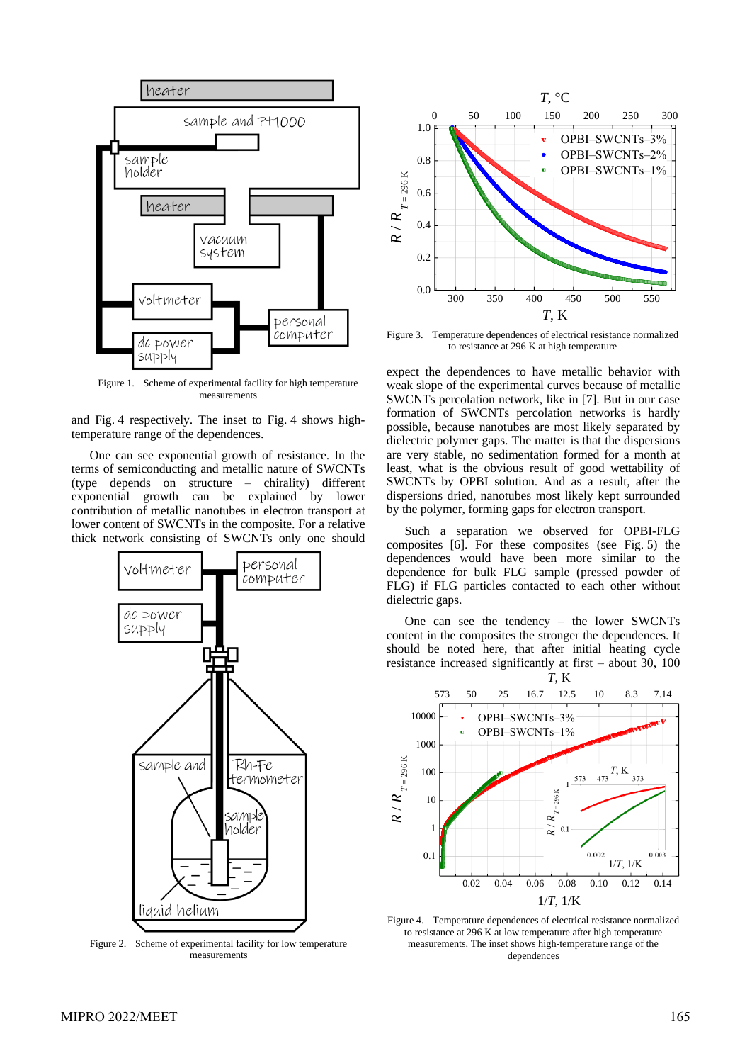

Figure 1. Scheme of experimental facility for high temperature measurements

and Fig. 4 respectively. The inset to Fig. 4 shows hightemperature range of the dependences.

One can see exponential growth of resistance. In the terms of semiconducting and metallic nature of SWCNTs (type depends on structure – chirality) different exponential growth can be explained by lower contribution of metallic nanotubes in electron transport at lower content of SWCNTs in the composite. For a relative thick network consisting of SWCNTs only one should



Figure 2. Scheme of experimental facility for low temperature measurements



Figure 3. Temperature dependences of electrical resistance normalized to resistance at 296 K at high temperature

expect the dependences to have metallic behavior with weak slope of the experimental curves because of metallic SWCNTs percolation network, like in [7]. But in our case formation of SWCNTs percolation networks is hardly possible, because nanotubes are most likely separated by dielectric polymer gaps. The matter is that the dispersions are very stable, no sedimentation formed for a month at least, what is the obvious result of good wettability of SWCNTs by OPBI solution. And as a result, after the dispersions dried, nanotubes most likely kept surrounded by the polymer, forming gaps for electron transport.

Such a separation we observed for OPBI-FLG composites [6]. For these composites (see Fig. 5) the dependences would have been more similar to the dependence for bulk FLG sample (pressed powder of FLG) if FLG particles contacted to each other without dielectric gaps.

One can see the tendency – the lower SWCNTs content in the composites the stronger the dependences. It should be noted here, that after initial heating cycle resistance increased significantly at first – about 30, 100



Figure 4. Temperature dependences of electrical resistance normalized to resistance at 296 K at low temperature after high temperature measurements. The inset shows high-temperature range of the dependences